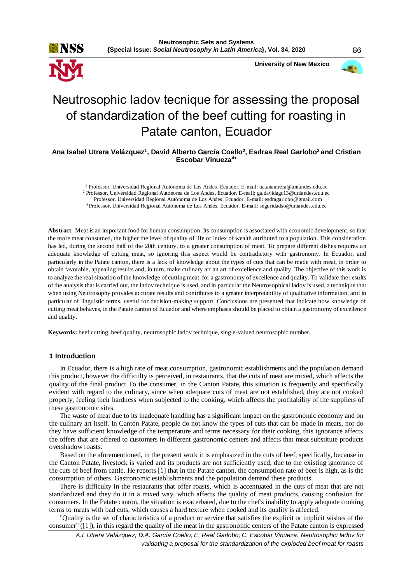

 **University of New Mexico**



# Neutrosophic Iadov tecnique for assessing the proposal of standardization of the beef cutting for roasting in Patate canton, Ecuador

**Ana Isabel Utrera Velázquez<sup>1</sup> , David Alberto García Coello<sup>2</sup> , Esdras Real Garlobo<sup>3</sup>and Cristian Escobar Vinueza4+**

<sup>1</sup> Professor, Universidad Regional Autónoma de Los Andes, Ecuador. E-mail: ua.anautrera@uniandes.edu.ec

<sup>2</sup> Professor, Universidad Regional Autónoma de Los Andes, Ecuador. E-mail: ga.davidagc13@uniandes.edu.ec

<sup>3</sup> Professor, Universidad Regional Autónoma de Los Andes, Ecuador. E-mail: [esdragarlobo@gmail.com](mailto:esdragarlobo@gmail.com) <sup>4</sup>Professor, Universidad Regional Autónoma de Los Andes, Ecuador. E-mail: seguridadso@uniandes.edu.ec

**Abstract**. Meat is an important food for human consumption. Its consumption is associated with economic development, so that the more meat consumed, the higher the level of quality of life or index of wealth attributed to a population. This consideration has led, during the second half of the 20th century, to a greater consumption of meat. To prepare different dishes requires an adequate knowledge of cutting meat, so ignoring this aspect would be contradictory with gastronomy. In Ecuador, and particularly in the Patate canton, there is a lack of knowledge about the types of cuts that can be made with meat, in order to obtain favorable, appealing results and, in turn, make culinary art an art of excellence and quality. The objective of this work is to analyze the real situation of the knowledge of cutting meat, for a gastronomy of excellence and quality. To validate the results of the analysis that is carried out, the Iadov technique is used, and in particular the Neutrosophical Iadov is used, a technique that when using Neutrosophy provides accurate results and contributes to a greater interpretability of qualitative information, and in particular of linguistic terms, useful for decision-making support. Conclusions are presented that indicate how knowledge of cutting meat behaves, in the Patate canton of Ecuador and where emphasis should be placed to obtain a gastronomy of excellence and quality.

**Keywords:** beef cutting, beef quality, neutrosophic Iadov technique, single-valued neutrosophic number.

#### **1 Introduction**

In Ecuador, there is a high rate of meat consumption, gastronomic establishments and the population demand this product, however the difficulty is perceived, in restaurants, that the cuts of meat are mixed, which affects the quality of the final product To the consumer, in the Canton Patate, this situation is frequently and specifically evident with regard to the culinary, since when adequate cuts of meat are not established, they are not cooked properly, feeling their hardness when subjected to the cooking, which affects the profitability of the suppliers of these gastronomic sites.

The waste of meat due to its inadequate handling has a significant impact on the gastronomic economy and on the culinary art itself. In Cantón Patate, people do not know the types of cuts that can be made in meats, nor do they have sufficient knowledge of the temperature and terms necessary for their cooking, this ignorance affects the offers that are offered to customers in different gastronomic centers and affects that meat substitute products overshadow roasts.

Based on the aforementioned, in the present work it is emphasized in the cuts of beef, specifically, because in the Canton Patate, livestock is varied and its products are not sufficiently used, due to the existing ignorance of the cuts of beef from cattle. He reports [1] that in the Patate canton, the consumption rate of beef is high, as is the consumption of others. Gastronomic establishments and the population demand these products.

There is difficulty in the restaurants that offer roasts, which is accentuated in the cuts of meat that are not standardized and they do it in a mixed way, which affects the quality of meat products, causing confusion for consumers. In the Patate canton, the situation is exacerbated, due to the chef's inability to apply adequate cooking terms to meats with bad cuts, which causes a hard texture when cooked and its quality is affected.

"Quality is the set of characteristics of a product or service that satisfies the explicit or implicit wishes of the consumer" ([1]), in this regard the quality of the meat in the gastronomic centers of the Patate canton is expressed

*A.I. Utrera Velázquez; D.A. García Coello; E. Real Garlobo; C. Escobar Vinueza. Neutrosophic Iadov for validating a proposal for the standardization of the exploded beef meat for roasts*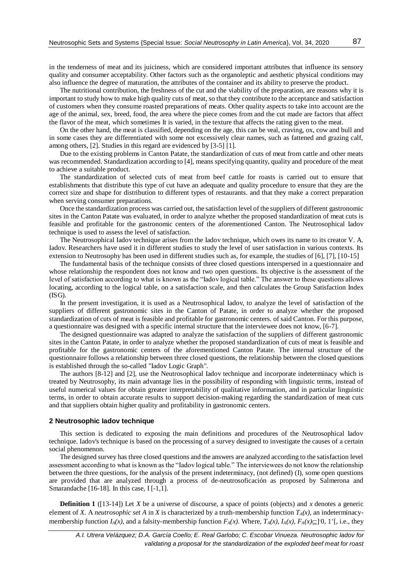in the tenderness of meat and its juiciness, which are considered important attributes that influence its sensory quality and consumer acceptability. Other factors such as the organoleptic and aesthetic physical conditions may also influence the degree of maturation, the attributes of the container and its ability to preserve the product.

The nutritional contribution, the freshness of the cut and the viability of the preparation, are reasons why it is important to study how to make high quality cuts of meat, so that they contribute to the acceptance and satisfaction of customers when they consume roasted preparations of meats. Other quality aspects to take into account are the age of the animal, sex, breed, food, the area where the piece comes from and the cut made are factors that affect the flavor of the meat, which sometimes It is varied, in the texture that affects the rating given to the meat.

On the other hand, the meat is classified, depending on the age, this can be veal, craving, ox, cow and bull and in some cases they are differentiated with some not excessively clear names, such as fattened and grazing calf, among others, [2]. Studies in this regard are evidenced by [3-5] [1].

Due to the existing problems in Canton Patate, the standardization of cuts of meat from cattle and other meats was recommended. Standardization according to [4], means specifying quantity, quality and procedure of the meat to achieve a suitable product.

The standardization of selected cuts of meat from beef cattle for roasts is carried out to ensure that establishments that distribute this type of cut have an adequate and quality procedure to ensure that they are the correct size and shape for distribution to different types of restaurants. and that they make a correct preparation when serving consumer preparations.

Once the standardization process was carried out, the satisfaction level of the suppliers of different gastronomic sites in the Canton Patate was evaluated, in order to analyze whether the proposed standardization of meat cuts is feasible and profitable for the gastronomic centers of the aforementioned Canton. The Neutrosophical Iadov technique is used to assess the level of satisfaction.

The Neutrosophical Iadov technique arises from the Iadov technique, which owes its name to its creator V. A. Iadov. Researchers have used it in different studies to study the level of user satisfaction in various contexts. Its extension to Neutrosophy has been used in different studies such as, for example, the studies of [6], [7], [10-15]

The fundamental basis of the technique consists of three closed questions interspersed in a questionnaire and whose relationship the respondent does not know and two open questions. Its objective is the assessment of the level of satisfaction according to what is known as the "Iadov logical table." The answer to these questions allows locating, according to the logical table, on a satisfaction scale, and then calculates the Group Satisfaction Index (ISG).

In the present investigation, it is used as a Neutrosophical Iadov, to analyze the level of satisfaction of the suppliers of different gastronomic sites in the Canton of Patate, in order to analyze whether the proposed standardization of cuts of meat is feasible and profitable for gastronomic centers. of said Canton. For this purpose, a questionnaire was designed with a specific internal structure that the interviewee does not know, [6-7].

The designed questionnaire was adapted to analyze the satisfaction of the suppliers of different gastronomic sites in the Canton Patate, in order to analyze whether the proposed standardization of cuts of meat is feasible and profitable for the gastronomic centers of the aforementioned Canton Patate. The internal structure of the questionnaire follows a relationship between three closed questions, the relationship between the closed questions is established through the so-called "Iadov Logic Graph".

The authors [8-12] and [2], use the Neutrosophical Iadov technique and incorporate indeterminacy which is treated by Neutrosophy, its main advantage lies in the possibility of responding with linguistic terms, instead of useful numerical values for obtain greater interpretability of qualitative information, and in particular linguistic terms, in order to obtain accurate results to support decision-making regarding the standardization of meat cuts and that suppliers obtain higher quality and profitability in gastronomic centers.

#### **2 Neutrosophic Iadov technique**

This section is dedicated to exposing the main definitions and procedures of the Neutrosophical Iadov technique. Iadov's technique is based on the processing of a survey designed to investigate the causes of a certain social phenomenon.

The designed survey has three closed questions and the answers are analyzed according to the satisfaction level assessment according to what is known as the "Iadov logical table." The interviewees do not know the relationship between the three questions, for the analysis of the present indeterminacy, (not defined) (I), some open questions are provided that are analyzed through a process of de-neutrosoficación as proposed by Salmerona and Smarandache [16-18]. In this case, I [-1,1].

**Definition 1** ([13-14]) Let *X* be a universe of discourse, a space of points (objects) and *x* denotes a generic element of *X*. A *neutrosophic set A* in *X* is characterized by a truth-membership function  $T_A(x)$ , an indeterminacymembership function  $I_A(x)$ , and a falsity-membership function  $F_A(x)$ . Where,  $T_A(x)$ ,  $I_A(x)$ ,  $F_A(x) \subseteq ]0, 1^+[$ , i.e., they

*A.I. Utrera Velázquez; D.A. García Coello; E. Real Garlobo; C. Escobar Vinueza. Neutrosophic Iadov for validating a proposal for the standardization of the exploded beef meat for roast*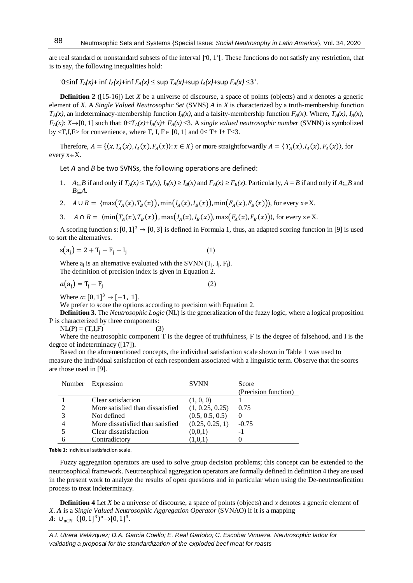are real standard or nonstandard subsets of the interval  $]0, 1^+[$ . These functions do not satisfy any restriction, that is to say, the following inequalities hold:

 $T \circ \text{C}$  inf *T*<sub>*A*</sub> $(x)$ + inf *I*<sub>*A*</sub> $(x)$ +inf *F<sub>A</sub>* $(x)$   $\leq$  sup *T<sub>A</sub>* $(x)$ +sup *F<sub>A</sub>* $(x)$   $\leq$  3<sup>+</sup>.

**Definition 2** ([15-16]) Let *X* be a universe of discourse, a space of points (objects) and *x* denotes a generic element of *X*. A *Single Valued Neutrosophic Set* (SVNS) *A* in *X* is characterized by a truth-membership function  $T_A(x)$ , an indeterminacy-membership function  $I_A(x)$ , and a falsity-membership function  $F_A(x)$ . Where,  $T_A(x)$ ,  $I_A(x)$ , *F<sub>A</sub>*(*x*): *X* $\rightarrow$ [0, 1] such that:  $0 \le T_A(x) + I_A(x) + F_A(x) \le 3$ . A *single valued neutrosophic number* (SVNN) is symbolized by  $\langle T, I, F \rangle$  for convenience, where T, I,  $F \in [0, 1]$  and  $0 \le T + I + F \le 3$ .

Therefore,  $A = \{(x, T_A(x), I_A(x), F_A(x)) : x \in X\}$  or more straightforwardly  $A = \langle T_A(x), I_A(x), F_A(x) \rangle$ , for every  $x \in X$ .

Let *A* and *B* be two SVNSs, the following operations are defined:

- 1.  $A \subseteq B$  if and only if  $T_A(x) \le T_B(x)$ ,  $I_A(x) \ge I_B(x)$  and  $F_A(x) \ge F_B(x)$ . Particularly,  $A = B$  if and only if  $A \subseteq B$  and *B*⊂*A.*
- 2.  $A \cup B = \langle \max(T_A(x), T_B(x)), \min(T_A(x), I_B(x)), \min(F_A(x), F_B(x)) \rangle$ , for every  $x \in X$ .
- 3.  $A \cap B = \langle \min(T_A(x), T_B(x)) , \max(T_A(x), T_B(x)) , \max(F_A(x), F_B(x)) \rangle$ , for every  $x \in X$ .

A scoring function s:  $[0, 1]^3 \rightarrow [0, 3]$  is defined in Formula 1, thus, an adapted scoring function in [9] is used to sort the alternatives.

$$
s(a_j) = 2 + T_j - F_j - I_j
$$
 (1)

Where  $a_i$  is an alternative evaluated with the SVNN  $(T_i, I_i, F_i)$ . The definition of precision index is given in Equation 2.

$$
a(a_j) = T_j - F_j \tag{2}
$$

Where  $a: [0, 1]^3 \rightarrow [-1, 1]$ .

88

We prefer to score the options according to precision with Equation 2.

**Definition 3.** The *Neutrosophic Logic* (NL) is the generalization of the fuzzy logic, where a logical proposition P is characterized by three components:

 $NL(P) = (T, I, F)$  (3)

Where the neutrosophic component T is the degree of truthfulness, F is the degree of falsehood, and I is the degree of indeterminacy ([17]).

Based on the aforementioned concepts, the individual satisfaction scale shown in Table 1 was used to measure the individual satisfaction of each respondent associated with a linguistic term. Observe that the scores are those used in [9].

| Number | Expression                       | <b>SVNN</b>     | Score                |
|--------|----------------------------------|-----------------|----------------------|
|        |                                  |                 | (Precision function) |
|        | Clear satisfaction               | (1, 0, 0)       |                      |
|        | More satisfied than dissatisfied | (1, 0.25, 0.25) | 0.75                 |
|        | Not defined                      | (0.5, 0.5, 0.5) | $\theta$             |
|        | More dissatisfied than satisfied | (0.25, 0.25, 1) | $-0.75$              |
|        | Clear dissatisfaction            | (0,0,1)         | - 1                  |
|        | Contradictory                    | (1,0,1)         |                      |

**Table 1:** Individual satisfaction scale.

Fuzzy aggregation operators are used to solve group decision problems; this concept can be extended to the neutrosophical framework. Neutrosophical aggregation operators are formally defined in definition 4 they are used in the present work to analyze the results of open questions and in particular when using the De-neutrosofication process to treat indeterminacy.

**Definition 4** Let *X* be a universe of discourse, a space of points (objects) and *x* denotes a generic element of *X*. *A* is a *Single Valued Neutrosophic Aggregation Operator* (SVNAO) if it is a mapping  $A: \cup_{n\in\mathbb{N}} ([0,1]^3)^n \rightarrow [0,1]^3$ .

*A.I. Utrera Velázquez; D.A. García Coello; E. Real Garlobo; C. Escobar Vinueza. Neutrosophic Iadov for validating a proposal for the standardization of the exploded beef meat for roasts*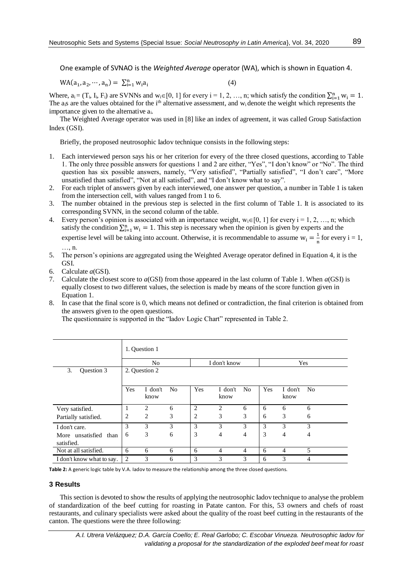One example of SVNAO is the *Weighted Average* operator (WA), which is shown in Equation 4.

$$
WA(a_1, a_2, \cdots, a_n) = \sum_{i=1}^{n} w_i a_i
$$
 (4)

Where,  $a_i = (T_i, I_i, F_i)$  are SVNNs and  $w_i \in [0, 1]$  for every  $i = 1, 2, ..., n$ ; which satisfy the condition  $\sum_{i=1}^{n} w_i = 1$ . The a<sub>i</sub>s are the values obtained for the i<sup>th</sup> alternative assessment, and w<sub>i</sub> denote the weight which represents the importance given to the alternative ai.

The Weighted Average operator was used in [8] like an index of agreement, it was called Group Satisfaction Index (GSI).

Briefly, the proposed neutrosophic Iadov technique consists in the following steps:

- 1. Each interviewed person says his or her criterion for every of the three closed questions, according to Table 1. The only three possible answers for questions 1 and 2 are either, "Yes", "I don't know" or "No". The third question has six possible answers, namely, "Very satisfied", "Partially satisfied", "I don't care", "More unsatisfied than satisfied", "Not at all satisfied", and "I don't know what to say".
- 2. For each triplet of answers given by each interviewed, one answer per question, a number in Table 1 is taken from the intersection cell, with values ranged from 1 to 6.
- 3. The number obtained in the previous step is selected in the first column of Table 1. It is associated to its corresponding SVNN, in the second column of the table.
- 4. Every person's opinion is associated with an importance weight,  $w_i \in [0, 1]$  for every  $i = 1, 2, ..., n$ ; which satisfy the condition  $\sum_{i=1}^{n} w_i = 1$ . This step is necessary when the opinion is given by experts and the expertise level will be taking into account. Otherwise, it is recommendable to assume  $w_i = \frac{1}{n}$  $\frac{1}{n}$  for every  $i = 1$ , …, n.
- 5. The person's opinions are aggregated using the Weighted Average operator defined in Equation 4, it is the GSI.
- 6. Calculate *a*(GSI).
- 7. Calculate the closest score to *a*(GSI) from those appeared in the last column of Table 1. When *a*(GSI) is equally closest to two different values, the selection is made by means of the score function given in Equation 1.
- 8. In case that the final score is 0, which means not defined or contradiction, the final criterion is obtained from the answers given to the open questions.

The questionnaire is supported in the "Iadov Logic Chart" represented in Table 2.

|                                     | 1. Question 1  |                 |                |              |                 |                |     |                 |                |
|-------------------------------------|----------------|-----------------|----------------|--------------|-----------------|----------------|-----|-----------------|----------------|
|                                     | N <sub>0</sub> |                 |                | I don't know |                 |                | Yes |                 |                |
| Question 3<br>3.                    | 2. Question 2  |                 |                |              |                 |                |     |                 |                |
|                                     | Yes            | I don't<br>know | N <sub>0</sub> | Yes          | I don't<br>know | N <sub>0</sub> | Yes | I don't<br>know | N <sub>0</sub> |
| Very satisfied.                     | 1              | $\overline{c}$  | 6              | 2            | 2               | 6              | 6   | 6               | 6              |
| Partially satisfied.                | 2              | 2               | 3              | 2            | 3               | 3              | 6   | 3               | 6              |
| I don't care.                       | 3              | 3               | 3              | 3            | 3               | 3              | 3   | 3               | 3              |
| More unsatisfied than<br>satisfied. | 6              | 3               | 6              | 3            | 4               | 4              | 3   | $\overline{4}$  | 4              |
| Not at all satisfied.               | 6              | 6               | 6              | 6            | 4               | $\overline{4}$ | 6   | 4               | 5              |
| I don't know what to say.           | $\overline{2}$ | 3               | 6              | 3            | 3               | 3              | 6   | 3               | 4              |

**Table 2:** A generic logic table by V.A. Iadov to measure the relationship among the three closed questions.

### **3 Results**

This section is devoted to show the results of applying the neutrosophic Iadov technique to analyse the problem of standardization of the beef cutting for roasting in Patate canton. For this, 53 owners and chefs of roast restaurants, and culinary specialists were asked about the quality of the roast beef cutting in the restaurants of the canton. The questions were the three following:

*A.I. Utrera Velázquez; D.A. García Coello; E. Real Garlobo; C. Escobar Vinueza. Neutrosophic Iadov for validating a proposal for the standardization of the exploded beef meat for roast*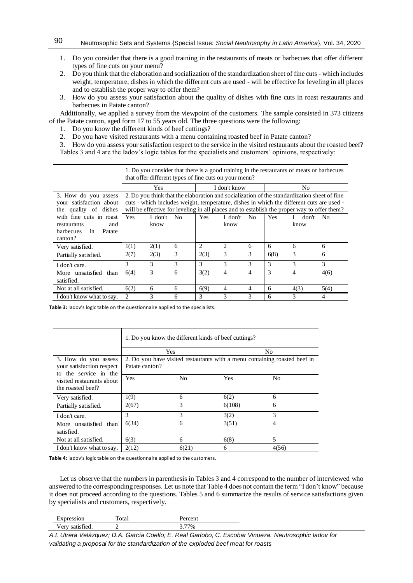- 1. Do you consider that there is a good training in the restaurants of meats or barbecues that offer different types of fine cuts on your menu?
- 2. Do you think that the elaboration and socialization of the standardization sheet of fine cuts which includes weight, temperature, dishes in which the different cuts are used - will be effective for leveling in all places and to establish the proper way to offer them?
- 3. How do you assess your satisfaction about the quality of dishes with fine cuts in roast restaurants and barbecues in Patate canton?

Additionally, we applied a survey from the viewpoint of the customers. The sample consisted in 373 citizens of the Patate canton, aged form 17 to 55 years old. The three questions were the following:

- 1. Do you know the different kinds of beef cuttings?
- 2. Do you have visited restaurants with a menu containing roasted beef in Patate canton?

3. How do you assess your satisfaction respect to the service in the visited restaurants about the roasted beef? Tables 3 and 4 are the Iadov's logic tables for the specialists and customers' opinions, respectively:

|                                                                          | 1. Do you consider that there is a good training in the restaurants of meats or barbecues<br>that offer different types of fine cuts on your menu?                                                                                                                                     |         |      |              |                |                |            |               |      |
|--------------------------------------------------------------------------|----------------------------------------------------------------------------------------------------------------------------------------------------------------------------------------------------------------------------------------------------------------------------------------|---------|------|--------------|----------------|----------------|------------|---------------|------|
|                                                                          | <b>Yes</b>                                                                                                                                                                                                                                                                             |         |      | I don't know |                | N <sub>0</sub> |            |               |      |
| 3. How do you assess<br>your satisfaction about<br>the quality of dishes | 2. Do you think that the elaboration and socialization of the standardization sheet of fine<br>cuts - which includes weight, temperature, dishes in which the different cuts are used -<br>will be effective for leveling in all places and to establish the proper way to offer them? |         |      |              |                |                |            |               |      |
| with fine cuts in roast                                                  | <b>Yes</b>                                                                                                                                                                                                                                                                             | I don't | - No | Yes          | I don't        | N <sub>0</sub> | <b>Yes</b> | don't No<br>L |      |
| restaurants<br>and                                                       |                                                                                                                                                                                                                                                                                        | know    |      |              | know           |                |            | know          |      |
| Patate<br><b>barbecues</b><br>in<br>canton?                              |                                                                                                                                                                                                                                                                                        |         |      |              |                |                |            |               |      |
| Very satisfied.                                                          | 1(1)                                                                                                                                                                                                                                                                                   | 2(1)    | 6    | 2            | $\overline{c}$ | 6              | 6          | 6             | 6    |
| Partially satisfied.                                                     | 2(7)                                                                                                                                                                                                                                                                                   | 2(3)    | 3    | 2(3)         | 3              | 3              | 6(8)       | 3             | 6    |
| I don't care.                                                            | $\mathcal{F}$                                                                                                                                                                                                                                                                          | 3       | 3    | 3            | 3              | 3              | 3          | 3             | 3    |
| More unsatisfied than                                                    | 6(4)                                                                                                                                                                                                                                                                                   | 3       | 6    | 3(2)         | 4              | 4              | 3          | 4             | 4(6) |
| satisfied.                                                               |                                                                                                                                                                                                                                                                                        |         |      |              |                |                |            |               |      |
| Not at all satisfied.                                                    | 6(2)                                                                                                                                                                                                                                                                                   | 6       | 6    | 6(9)         | 4              | 4              | 6          | 4(3)          | 5(4) |
| I don't know what to say.                                                | 2                                                                                                                                                                                                                                                                                      | 3       | 6    | 3            | 3              | 3              | 6          | 3             | 4    |

**Table 3:** Iadov's logic table on the questionnaire applied to the specialists.

|                                                                            | 1. Do you know the different kinds of beef cuttings?                                        |                |            |                |  |  |  |
|----------------------------------------------------------------------------|---------------------------------------------------------------------------------------------|----------------|------------|----------------|--|--|--|
|                                                                            |                                                                                             | <b>Yes</b>     |            | No             |  |  |  |
| 3. How do you assess<br>your satisfaction respect<br>to the service in the | 2. Do you have visited restaurants with a menu containing roasted beef in<br>Patate canton? |                |            |                |  |  |  |
| visited restaurants about<br>the roasted beef?                             | Yes                                                                                         | N <sub>0</sub> | <b>Yes</b> | N <sub>0</sub> |  |  |  |
| Very satisfied.                                                            | 1(9)                                                                                        | 6              | 6(2)       | 6              |  |  |  |
| Partially satisfied.                                                       | 2(67)                                                                                       | 3              | 6(108)     | 6              |  |  |  |
| I don't care.                                                              | 3                                                                                           | 3              | 3(2)       | 3              |  |  |  |
| More unsatisfied than                                                      | 6(34)                                                                                       | 6              | 3(51)      | 4              |  |  |  |
| satisfied.                                                                 |                                                                                             |                |            |                |  |  |  |
| Not at all satisfied.                                                      | 6(3)                                                                                        | 6              | 6(8)       | 5              |  |  |  |
| I don't know what to say.                                                  | 2(12)                                                                                       | 6(21)          | 6          | 4(56)          |  |  |  |

**Table 4:** Iadov's logic table on the questionnaire applied to the customers.

Let us observe that the numbers in parenthesis in Tables 3 and 4 correspond to the number of interviewed who answered to the corresponding responses. Let us note that Table 4 does not contain the term "I don't know" because it does not proceed according to the questions. Tables 5 and 6 summarize the results of service satisfactions given by specialists and customers, respectively.

| Expression      | Total | Percent |  |
|-----------------|-------|---------|--|
| Very satisfied. |       | 3 7704  |  |

*A.I. Utrera Velázquez; D.A. García Coello; E. Real Garlobo; C. Escobar Vinueza. Neutrosophic Iadov for validating a proposal for the standardization of the exploded beef meat for roasts*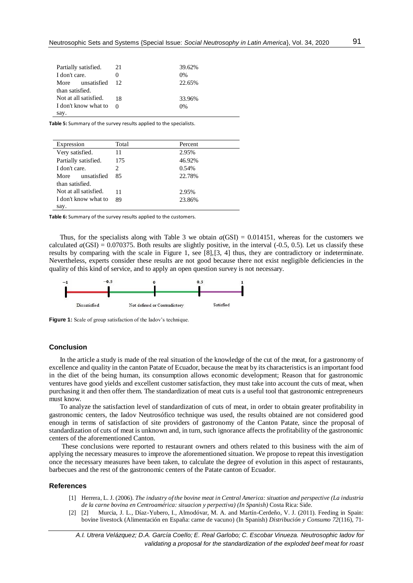| Partially satisfied.  | 21       | 39.62% |
|-----------------------|----------|--------|
| I don't care.         |          | 0%     |
| More unsatisfied      | 12       | 22.65% |
| than satisfied.       |          |        |
| Not at all satisfied. | 18       | 33.96% |
| I don't know what to  | $\Omega$ | 0%     |
| say.                  |          |        |

**Table 5:** Summary of the survey results applied to the specialists.

| Expression            | Total | Percent |
|-----------------------|-------|---------|
| Very satisfied.       | 11    | 2.95%   |
| Partially satisfied.  | 175   | 46.92%  |
| I don't care.         | 2.    | 0.54%   |
| unsatisfied<br>More   | 85    | 22.78%  |
| than satisfied.       |       |         |
| Not at all satisfied. | 11    | 2.95%   |
| I don't know what to  | 89    | 23.86%  |
| say.                  |       |         |

**Table 6:** Summary of the survey results applied to the customers.

Thus, for the specialists along with Table 3 we obtain *a*(GSI) = 0.014151, whereas for the customers we calculated  $a(GSI) = 0.070375$ . Both results are slightly positive, in the interval  $(-0.5, 0.5)$ . Let us classify these results by comparing with the scale in Figure 1, see [8],[3, 4] thus, they are contradictory or indeterminate. Nevertheless, experts consider these results are not good because there not exist negligible deficiencies in the quality of this kind of service, and to apply an open question survey is not necessary.



**Figure 1:** Scale of group satisfaction of the Iadov's technique.

## **Conclusion**

In the article a study is made of the real situation of the knowledge of the cut of the meat, for a gastronomy of excellence and quality in the canton Patate of Ecuador, because the meat by its characteristics is an important food in the diet of the being human, its consumption allows economic development; Reason that for gastronomic ventures have good yields and excellent customer satisfaction, they must take into account the cuts of meat, when purchasing it and then offer them. The standardization of meat cuts is a useful tool that gastronomic entrepreneurs must know.

To analyze the satisfaction level of standardization of cuts of meat, in order to obtain greater profitability in gastronomic centers, the Iadov Neutrosófico technique was used, the results obtained are not considered good enough in terms of satisfaction of site providers of gastronomy of the Canton Patate, since the proposal of standardization of cuts of meat is unknown and, in turn, such ignorance affects the profitability of the gastronomic centers of the aforementioned Canton.

These conclusions were reported to restaurant owners and others related to this business with the aim of applying the necessary measures to improve the aforementioned situation. We propose to repeat this investigation once the necessary measures have been taken, to calculate the degree of evolution in this aspect of restaurants, barbecues and the rest of the gastronomic centers of the Patate canton of Ecuador.

#### **References**

- [1] Herrera, L. J. (2006). *The industry of the bovine meat in Central America: situation and perspective (La industria de la carne bovina en Centroamérica: situacion y perpectiva) (In Spanish)* Costa Rica: Side.
- [2] [2] Murcia, J. L., Díaz-Yubero, I., Almodóvar, M. A. and Martín-Cerdeño, V. J. (2011). Feeding in Spain: bovine livestock (Alimentación en España: carne de vacuno) (In Spanish) *Distribución y Consumo 72*(116), 71-